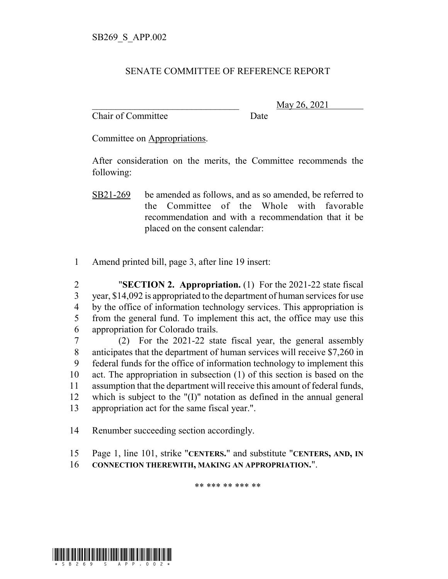## SENATE COMMITTEE OF REFERENCE REPORT

Chair of Committee Date

\_\_\_\_\_\_\_\_\_\_\_\_\_\_\_\_\_\_\_\_\_\_\_\_\_\_\_\_\_\_\_ May 26, 2021

Committee on Appropriations.

After consideration on the merits, the Committee recommends the following:

1 Amend printed bill, page 3, after line 19 insert:

 "**SECTION 2. Appropriation.** (1) For the 2021-22 state fiscal year, \$14,092 is appropriated to the department of human services for use by the office of information technology services. This appropriation is from the general fund. To implement this act, the office may use this appropriation for Colorado trails.

 (2) For the 2021-22 state fiscal year, the general assembly anticipates that the department of human services will receive \$7,260 in federal funds for the office of information technology to implement this act. The appropriation in subsection (1) of this section is based on the assumption that the department will receive this amount of federal funds, which is subject to the "(I)" notation as defined in the annual general appropriation act for the same fiscal year.".

14 Renumber succeeding section accordingly.

- 15 Page 1, line 101, strike "**CENTERS.**" and substitute "**CENTERS, AND, IN**
- 16 **CONNECTION THEREWITH, MAKING AN APPROPRIATION.**".

\*\* \*\*\* \*\* \*\*\* \*\*



SB21-269 be amended as follows, and as so amended, be referred to the Committee of the Whole with favorable recommendation and with a recommendation that it be placed on the consent calendar: